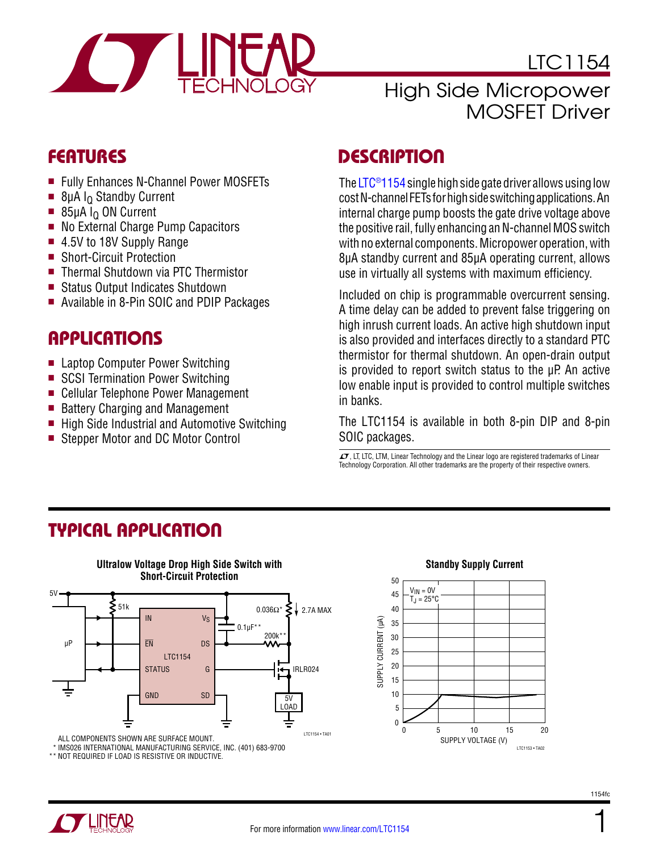

LTC1154

### High Side Micropower MOSFET Driver

### Features

- Fully Enhances N-Channel Power MOSFETs
- $\blacksquare$  8µA I<sub>Q</sub> Standby Current
- $\blacksquare$  85µA I<sub>O</sub> ON Current
- No External Charge Pump Capacitors
- 4.5V to 18V Supply Range
- Short-Circuit Protection
- Thermal Shutdown via PTC Thermistor
- Status Output Indicates Shutdown
- Available in 8-Pin SOIC and PDIP Packages

### **APPLICATIONS**

- Laptop Computer Power Switching
- SCSI Termination Power Switching
- Cellular Telephone Power Management
- Battery Charging and Management
- $\blacksquare$  High Side Industrial and Automotive Switching
- Stepper Motor and DC Motor Control

### **DESCRIPTION**

The [LTC®1154](http://www.linear.com/LTC1154) single high side gate driver allows using low cost N-channel FETs for high side switching applications. An internal charge pump boosts the gate drive voltage above the positive rail, fully enhancing an N-channel MOS switch with no external components. Micropower operation, with 8µA standby current and 85µA operating current, allows use in virtually all systems with maximum efficiency.

Included on chip is programmable overcurrent sensing. A time delay can be added to prevent false triggering on high inrush current loads. An active high shutdown input is also provided and interfaces directly to a standard PTC thermistor for thermal shutdown. An open-drain output is provided to report switch status to the  $\mu$ P. An active low enable input is provided to control multiple switches in banks.

The LTC1154 is available in both 8-pin DIP and 8-pin SOIC packages.

 $I$ , LT, LTC, LTM, Linear Technology and the Linear logo are registered trademarks of Linear Technology Corporation. All other trademarks are the property of their respective owners.

## Typical Application



**Ultralow Voltage Drop High Side Switch with** 

ALL COMPONENTS SHOWN ARE SURFACE MOUNT.

IMS026 INTERNATIONAL MANUFACTURING SERVICE, INC. (401) 683-9700

\* IMS026 INTERNATIONAL MANUFACTURING SERVICE,<br>\* NOT REQUIRED IF LOAD IS RESISTIVE OR INDUCTIVE. \*\*

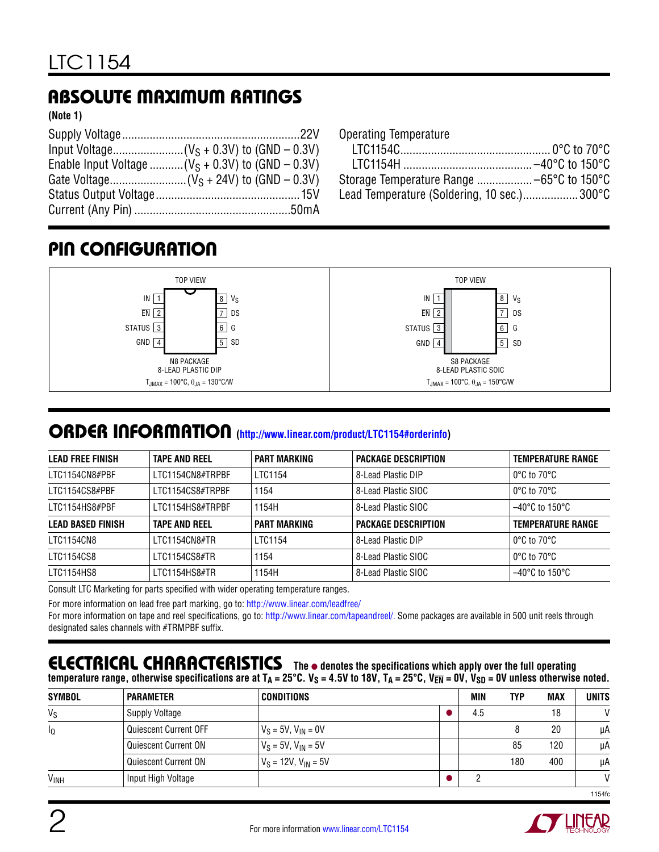## Absolute Maximum Ratings

**(Note 1)**

| Enable Input Voltage  ( $V_S$ + 0.3V) to (GND – 0.3V) |
|-------------------------------------------------------|
|                                                       |
|                                                       |
|                                                       |

Operating Temperature

| Lead Temperature (Soldering, 10 sec.)300°C |  |
|--------------------------------------------|--|

## Pin Configuration



### order information **([http://www.linear.com/product/LTC1154#orderinfo\)](http://www.linear.com/product/LTC1154#orderinfo)**

| <b>LEAD FREE FINISH</b>  | <b>TAPE AND REEL</b> | <b>PART MARKING</b> | <b>PACKAGE DESCRIPTION</b> | <b>TEMPERATURE RANGE</b>            |
|--------------------------|----------------------|---------------------|----------------------------|-------------------------------------|
| LTC1154CN8#PBF           | LTC1154CN8#TRPBF     | LTC1154             | 8-Lead Plastic DIP         | l 0°C to 70°C                       |
| LTC1154CS8#PBF           | LTC1154CS8#TRPBF     | 1154                | 8-Lead Plastic SIOC        | l 0°C to 70°C                       |
| LTC1154HS8#PBF           | LTC1154HS8#TRPBF     | 1154H               | 8-Lead Plastic SIOC        | $-40^{\circ}$ C to 150 $^{\circ}$ C |
| <b>LEAD BASED FINISH</b> | <b>TAPE AND REEL</b> | <b>PART MARKING</b> | <b>PACKAGE DESCRIPTION</b> | <b>TEMPERATURE RANGE</b>            |
| LTC1154CN8               | LTC1154CN8#TR        | LTC1154             | 8-Lead Plastic DIP         | $\circ$ 0°C to 70°C                 |
| LTC1154CS8               | LTC1154CS8#TR        | 1154                | 8-Lead Plastic SIOC        | $\circ$ 0°C to 70°C                 |
| LTC1154HS8               | LTC1154HS8#TR        | 1154H               | 8-Lead Plastic SIOC        | $-40^{\circ}$ C to 150 $^{\circ}$ C |
|                          |                      |                     |                            |                                     |

Consult LTC Marketing for parts specified with wider operating temperature ranges.

For more information on lead free part marking, go to:<http://www.linear.com/leadfree/>

For more information on tape and reel specifications, go to: <http://www.linear.com/tapeandreel/>. Some packages are available in 500 unit reels through designated sales channels with #TRMPBF suffix.

#### **ELECTRICAL CHARACTERISTICS** The  $\bullet$  denotes the specifications which apply over the full operating temperature range, otherwise specifications are at  $T_A = 25^\circ \text{C}$ ,  $V_S = 4.5V$  to 18V,  $T_A = 25^\circ \text{C}$ ,  $V_{\text{EM}} = 0V$ ,  $V_{\text{SD}} = 0V$  unless otherwise noted.

| <b>SYMBOL</b> | <b>PARAMETER</b>      | CONDITIONS                  | MIN | <b>TYP</b> | <b>MAX</b> | <b>UNITS</b>  |
|---------------|-----------------------|-----------------------------|-----|------------|------------|---------------|
| $V_S$         | <b>Supply Voltage</b> |                             | 4.5 |            | 18         | M             |
| ΙQ            | Quiescent Current OFF | $V_S = 5V$ , $V_{IN} = 0V$  |     |            | 20         | μA            |
|               | Quiescent Current ON  | $V_S = 5V$ , $V_{IN} = 5V$  |     | 85         | 120        | μA            |
|               | Quiescent Current ON  | $V_S = 12V$ , $V_{IN} = 5V$ |     | 180        | 400        | μA            |
| <b>VINH</b>   | Input High Voltage    |                             |     |            |            | $\mathcal{U}$ |
|               |                       |                             |     |            |            | 1154fc        |

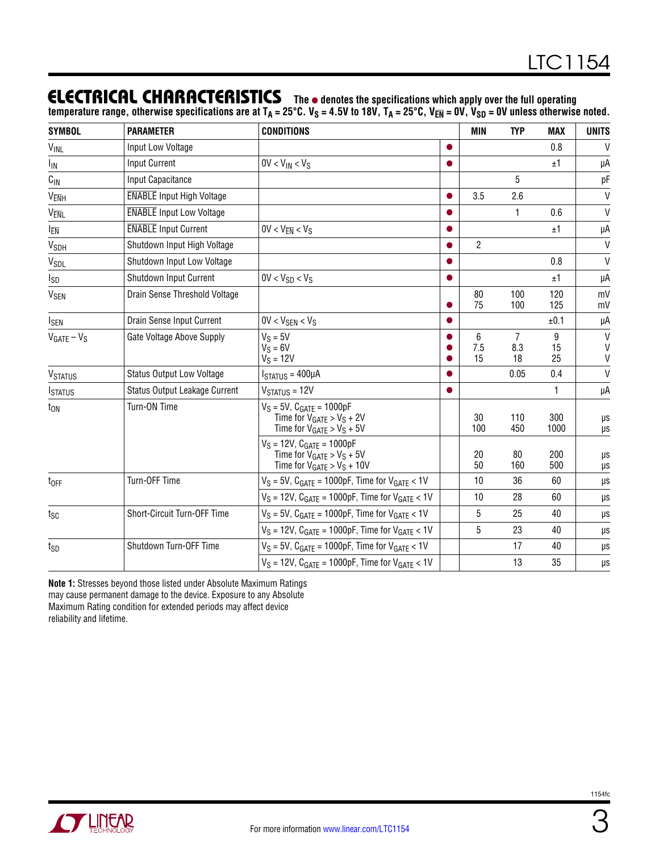### **ELECTRICAL CHARACTERISTICS** The  $\bullet$  denotes the specifications which apply over the full operating

temperature range, otherwise specifications are at T<sub>A</sub> = 25°C. V<sub>S</sub> = 4.5V to 18V, T<sub>A</sub> = 25°C, V<sub>EN</sub> = 0V, V<sub>SD</sub> = 0V unless otherwise noted.

| <b>SYMBOL</b>          | <b>PARAMETER</b>                 | <b>CONDITIONS</b>                                                                                      |   | MIN            | <b>TYP</b>                  | MAX           | <b>UNITS</b>                      |
|------------------------|----------------------------------|--------------------------------------------------------------------------------------------------------|---|----------------|-----------------------------|---------------|-----------------------------------|
| <b>VINL</b>            | Input Low Voltage                |                                                                                                        |   |                |                             | 0.8           | $\vee$                            |
| I <sub>IN</sub>        | <b>Input Current</b>             | $0V < V_{IN} < V_S$                                                                                    |   |                |                             | ±1            | μA                                |
| $C_{\text{IN}}$        | Input Capacitance                |                                                                                                        |   |                | $\overline{5}$              |               | рF                                |
| VENH                   | <b>ENABLE</b> Input High Voltage |                                                                                                        |   | 3.5            | 2.6                         |               | $\mathsf{V}$                      |
| V <sub>ENL</sub>       | <b>ENABLE</b> Input Low Voltage  |                                                                                                        |   |                | 1                           | 0.6           | V                                 |
| I <sub>EN</sub>        | <b>ENABLE</b> Input Current      | $0V < V_{\overline{EN}} < V_S$                                                                         |   |                |                             | ±1            | μA                                |
| <b>V<sub>SDH</sub></b> | Shutdown Input High Voltage      |                                                                                                        |   | $\overline{2}$ |                             |               | V                                 |
| V <sub>SDL</sub>       | Shutdown Input Low Voltage       |                                                                                                        |   |                |                             | 0.8           | V                                 |
| I <sub>SD</sub>        | <b>Shutdown Input Current</b>    | $0V < V_{SD} < V_S$                                                                                    | 0 |                |                             | ±1            | μA                                |
| V <sub>SEN</sub>       | Drain Sense Threshold Voltage    |                                                                                                        |   | 80<br>75       | 100<br>100                  | 120<br>125    | mV<br>mV                          |
| <b>I</b> SEN           | Drain Sense Input Current        | $0V < V_{SEN} < V_S$                                                                                   |   |                |                             | ±0.1          | μA                                |
| $V_{GATE} - V_S$       | Gate Voltage Above Supply        | $V_S = 5V$<br>$V_S = 6V$<br>$V_S = 12V$                                                                |   | 6<br>7.5<br>15 | $\overline{7}$<br>8.3<br>18 | 9<br>15<br>25 | V<br>$\mathsf{V}$<br>$\mathsf{V}$ |
| <b>VSTATUS</b>         | <b>Status Output Low Voltage</b> | $ISTATUS = 400\muA$                                                                                    |   |                | 0.05                        | 0.4           | $\mathsf{V}$                      |
| <b>ISTATUS</b>         | Status Output Leakage Current    | $VSTATUS = 12V$                                                                                        |   |                |                             | 1             | μA                                |
| $t_{ON}$               | Turn-ON Time                     | $V_S = 5V$ , $C_{GATE} = 1000pF$<br>Time for $V_{GATE} > V_S + 2V$<br>Time for $V_{GATE} > V_S + 5V$   |   | 30<br>100      | 110<br>450                  | 300<br>1000   | μs<br>$\mu s$                     |
|                        |                                  | $V_S = 12V$ , $C_{GATE} = 1000pF$<br>Time for $V_{GATE} > V_S + 5V$<br>Time for $V_{GATE} > V_S + 10V$ |   | 20<br>50       | 80<br>160                   | 200<br>500    | μs<br>μs                          |
| t <sub>OFF</sub>       | Turn-OFF Time                    | $V_S = 5V$ , C <sub>GATE</sub> = 1000pF, Time for $V_{GATE} < 1V$                                      |   | 10             | 36                          | 60            | μs                                |
|                        |                                  | $V_S = 12V$ , $C_{GATE} = 1000pF$ , Time for $V_{GATE} < 1V$                                           |   | 10             | 28                          | 60            | μs                                |
| tsc                    | Short-Circuit Turn-OFF Time      | $V_S$ = 5V, C <sub>GATE</sub> = 1000pF, Time for $V_{GATE}$ < 1V                                       |   | 5              | 25                          | 40            | $\mu s$                           |
|                        |                                  | $V_S = 12V$ , C <sub>GATE</sub> = 1000pF, Time for $V_{GATE} < 1V$                                     |   | 5              | 23                          | 40            | $\mu\text{s}$                     |
| tsp                    | Shutdown Turn-OFF Time           | $V_S$ = 5V, $C_{GATE}$ = 1000pF, Time for $V_{GATE}$ < 1V                                              |   |                | 17                          | 40            | $\mu s$                           |
|                        |                                  | $V_S = 12V$ , $C_{GATE} = 1000pF$ , Time for $V_{GATE} < 1V$                                           |   |                | 13                          | 35            | μs                                |

**Note 1:** Stresses beyond those listed under Absolute Maximum Ratings may cause permanent damage to the device. Exposure to any Absolute Maximum Rating condition for extended periods may affect device reliability and lifetime.

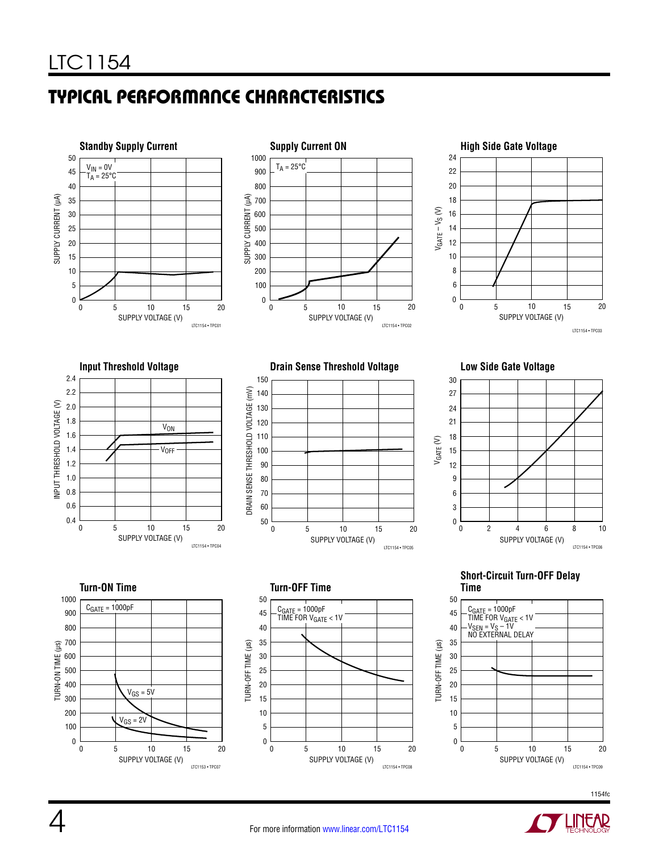# Typical Performance Characteristics











**Short-Circuit Turn-OFF Delay Time**





SUPPLY VOLTAGE (V) LTC1153 • TPC07



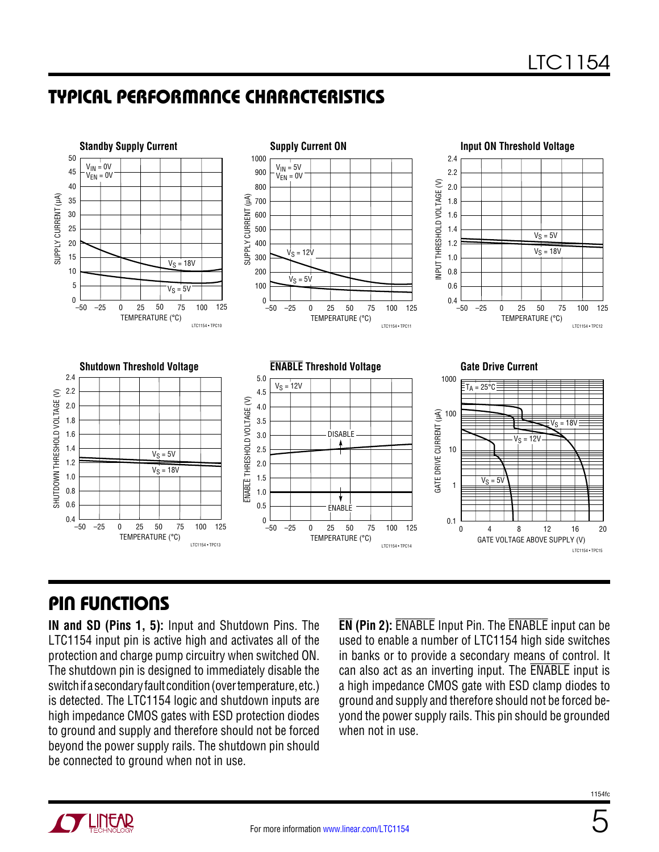## Typical Performance Characteristics



## Pin Functions

**IN and SD (Pins 1, 5):** Input and Shutdown Pins. The LTC1154 input pin is active high and activates all of the protection and charge pump circuitry when switched ON. The shutdown pin is designed to immediately disable the switch if a secondary fault condition (over temperature, etc.) is detected. The LTC1154 logic and shutdown inputs are high impedance CMOS gates with ESD protection diodes to ground and supply and therefore should not be forced beyond the power supply rails. The shutdown pin should be connected to ground when not in use.

**EN (Pin 2):** ENABLE Input Pin. The ENABLE input can be used to enable a number of LTC1154 high side switches in banks or to provide a secondary means of control. It can also act as an inverting input. The ENABLE input is a high impedance CMOS gate with ESD clamp diodes to ground and supply and therefore should not be forced beyond the power supply rails. This pin should be grounded when not in use.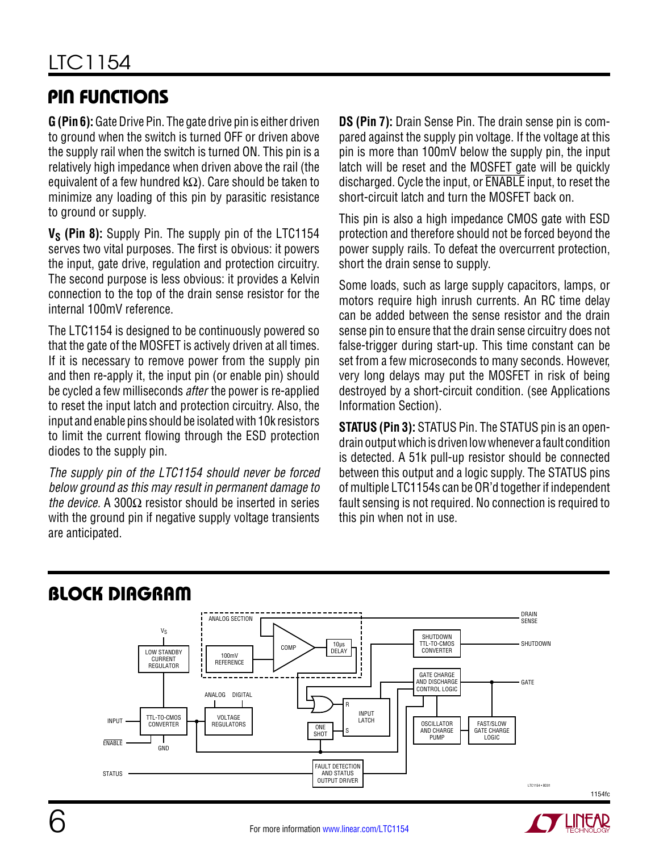## Pin Functions

**G (Pin 6):** Gate Drive Pin. The gate drive pin is either driven to ground when the switch is turned OFF or driven above the supply rail when the switch is turned ON. This pin is a relatively high impedance when driven above the rail (the equivalent of a few hundred k $\Omega$ ). Care should be taken to minimize any loading of this pin by parasitic resistance to ground or supply.

**V<sub>S</sub>** (Pin 8): Supply Pin. The supply pin of the LTC1154 serves two vital purposes. The first is obvious: it powers the input, gate drive, regulation and protection circuitry. The second purpose is less obvious: it provides a Kelvin connection to the top of the drain sense resistor for the internal 100mV reference.

The LTC1154 is designed to be continuously powered so that the gate of the MOSFET is actively driven at all times. If it is necessary to remove power from the supply pin and then re-apply it, the input pin (or enable pin) should be cycled a few milliseconds *after* the power is re-applied to reset the input latch and protection circuitry. Also, the input and enable pins should be isolated with 10k resistors to limit the current flowing through the ESD protection diodes to the supply pin.

*The supply pin of the LTC1154 should never be forced below ground as this may result in permanent damage to the device.* A 300Ω resistor should be inserted in series with the ground pin if negative supply voltage transients are anticipated.

**DS (Pin 7):** Drain Sense Pin. The drain sense pin is compared against the supply pin voltage. If the voltage at this pin is more than 100mV below the supply pin, the input latch will be reset and the MOSFET gate will be quickly discharged. Cycle the input, or ENABLE input, to reset the short-circuit latch and turn the MOSFET back on.

This pin is also a high impedance CMOS gate with ESD protection and therefore should not be forced beyond the power supply rails. To defeat the overcurrent protection, short the drain sense to supply.

Some loads, such as large supply capacitors, lamps, or motors require high inrush currents. An RC time delay can be added between the sense resistor and the drain sense pin to ensure that the drain sense circuitry does not false-trigger during start-up. This time constant can be set from a few microseconds to many seconds. However, very long delays may put the MOSFET in risk of being destroyed by a short-circuit condition. (see Applications Information Section).

**STATUS (Pin 3):** STATUS Pin. The STATUS pin is an opendrain output which is driven low whenever a fault condition is detected. A 51k pull-up resistor should be connected between this output and a logic supply. The STATUS pins of multiple LTC1154s can be OR'd together if independent fault sensing is not required. No connection is required to this pin when not in use.



# Block Diagram

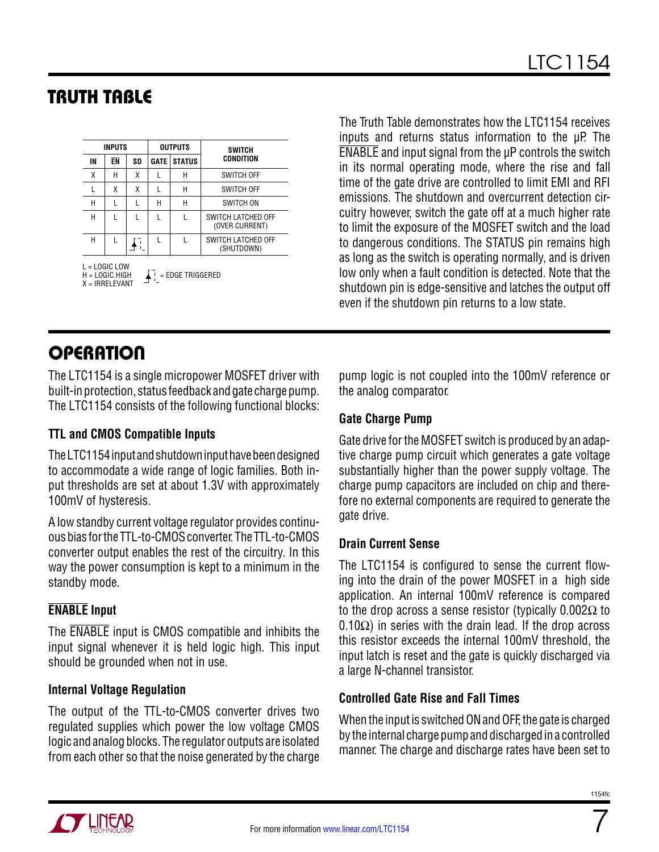# TRUTH TABLE

|                                                                                             | <b>INPUTS</b> |    |             | <b>OUTPUTS</b>                   | <b>SWITCH</b>                        |  |  |
|---------------------------------------------------------------------------------------------|---------------|----|-------------|----------------------------------|--------------------------------------|--|--|
| IN                                                                                          | ĒΝ            | SD | <b>GATE</b> | <b>STATUS</b>                    | <b>CONDITION</b>                     |  |  |
| χ                                                                                           | Н             | X  | L           | Н                                | <b>SWITCH OFF</b>                    |  |  |
| L                                                                                           | χ             | χ  | L           | Н                                | <b>SWITCH OFF</b>                    |  |  |
| Н                                                                                           | L             | L  | Н           | Н                                | SWITCH ON                            |  |  |
| Н                                                                                           | L             | L  | L           |                                  | SWITCH LATCHED OFF<br>(OVER CURRENT) |  |  |
| Н                                                                                           | L             |    | L           | SWITCH LATCHED OFF<br>(SHUTDOWN) |                                      |  |  |
| $L = LOGIC$ LOW<br>$\blacksquare$ = EDGE TRIGGERED<br>$H = LOGIC HIGH$<br>$X = IRRFI FVANT$ |               |    |             |                                  |                                      |  |  |

The Truth Table demonstrates how the LTC1154 receives inputs and returns status information to the uP. The ENABLE and input signal from the µP controls the switch in its normal operating mode, where the rise and fall time of the gate drive are controlled to limit EMI and RFI emissions. The shutdown and overcurrent detection circuitry however, switch the gate off at a much higher rate to limit the exposure of the MOSFET switch and the load to dangerous conditions. The STATUS pin remains high as long as the switch is operating normally, and is driven low only when a fault condition is detected. Note that the shutdown pin is edge-sensitive and latches the output off even if the shutdown pin returns to a low state.

# **OPERATION**

The LTC1154 is a single micropower MOSFET driver with built-in protection, status feedback and gate charge pump. The LTC1154 consists of the following functional blocks:

#### **TTL and CMOS Compatible Inputs**

The LTC1154 input and shutdown input have been designed to accommodate a wide range of logic families. Both input thresholds are set at about 1.3V with approximately 100mV of hysteresis.

A low standby current voltage regulator provides continuous bias for the TTL-to-CMOS converter. The TTL-to-CMOS converter output enables the rest of the circuitry. In this way the power consumption is kept to a minimum in the standby mode.

#### **ENABLE Input**

The ENABLE input is CMOS compatible and inhibits the input signal whenever it is held logic high. This input should be grounded when not in use.

#### **Internal Voltage Regulation**

The output of the TTL-to-CMOS converter drives two regulated supplies which power the low voltage CMOS logic and analog blocks. The regulator outputs are isolated from each other so that the noise generated by the charge pump logic is not coupled into the 100mV reference or the analog comparator.

#### **Gate Charge Pump**

Gate drive for the MOSFET switch is produced by an adaptive charge pump circuit which generates a gate voltage substantially higher than the power supply voltage. The charge pump capacitors are included on chip and therefore no external components are required to generate the gate drive.

#### **Drain Current Sense**

The LTC1154 is configured to sense the current flowing into the drain of the power MOSFET in a high side application. An internal 100mV reference is compared to the drop across a sense resistor (typically  $0.002Ω$  to 0.10 $\Omega$ ) in series with the drain lead. If the drop across this resistor exceeds the internal 100mV threshold, the input latch is reset and the gate is quickly discharged via a large N-channel transistor.

#### **Controlled Gate Rise and Fall Times**

When the input is switched ON and OFF, the gate is charged by the internal charge pump and discharged in a controlled manner. The charge and discharge rates have been set to

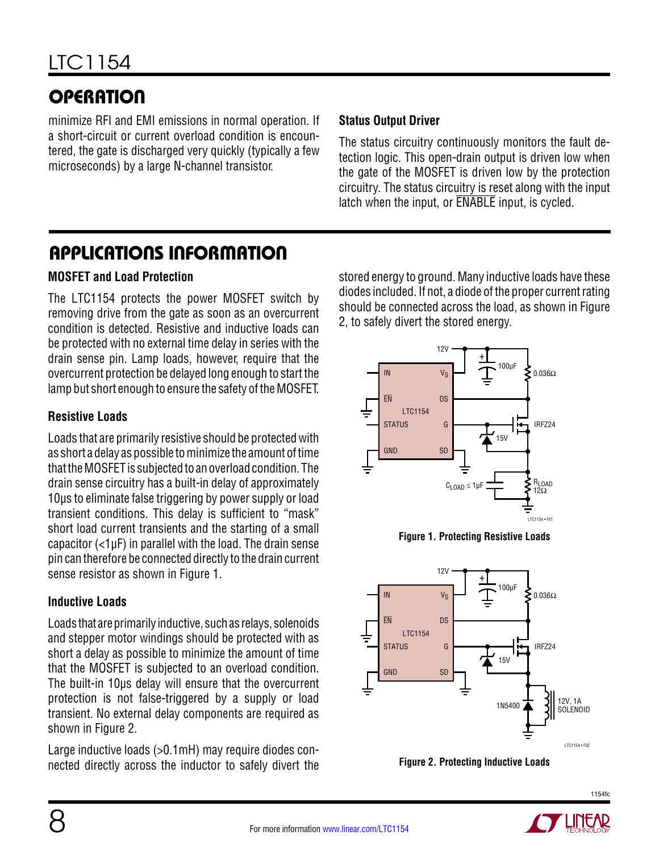# **OPERATION**

minimize RFI and EMI emissions in normal operation. If a short-circuit or current overload condition is encountered, the gate is discharged very quickly (typically a few microseconds) by a large N-channel transistor.

#### **Status Output Driver**

The status circuitry continuously monitors the fault detection logic. This open-drain output is driven low when the gate of the MOSFET is driven low by the protection circuitry. The status circuitry is reset along with the input latch when the input, or ENABLE input, is cycled.

### Applications Information

#### **MOSFET and Load Protection**

The LTC1154 protects the power MOSFET switch by removing drive from the gate as soon as an overcurrent condition is detected. Resistive and inductive loads can be protected with no external time delay in series with the drain sense pin. Lamp loads, however, require that the overcurrent protection be delayed long enough to start the lamp but short enough to ensure the safety of the MOSFET.

#### **Resistive Loads**

Loads that are primarily resistive should be protected with as short a delay as possible to minimize the amount of time that the MOSFET is subjected to an overload condition. The drain sense circuitry has a built-in delay of approximately 10µs to eliminate false triggering by power supply or load transient conditions. This delay is sufficient to "mask" short load current transients and the starting of a small capacitor (<1µF) in parallel with the load. The drain sense pin can therefore be connected directly to the drain current sense resistor as shown in Figure 1.

#### **Inductive Loads**

Loads that are primarily inductive, such as relays, solenoids and stepper motor windings should be protected with as short a delay as possible to minimize the amount of time that the MOSFET is subjected to an overload condition. The built-in 10µs delay will ensure that the overcurrent protection is not false-triggered by a supply or load transient. No external delay components are required as shown in Figure 2.

Large inductive loads (>0.1mH) may require diodes connected directly across the inductor to safely divert the stored energy to ground. Many inductive loads have these diodes included. If not, a diode of the proper current rating should be connected across the load, as shown in Figure 2, to safely divert the stored energy.



**Figure 1. Protecting Resistive Loads**





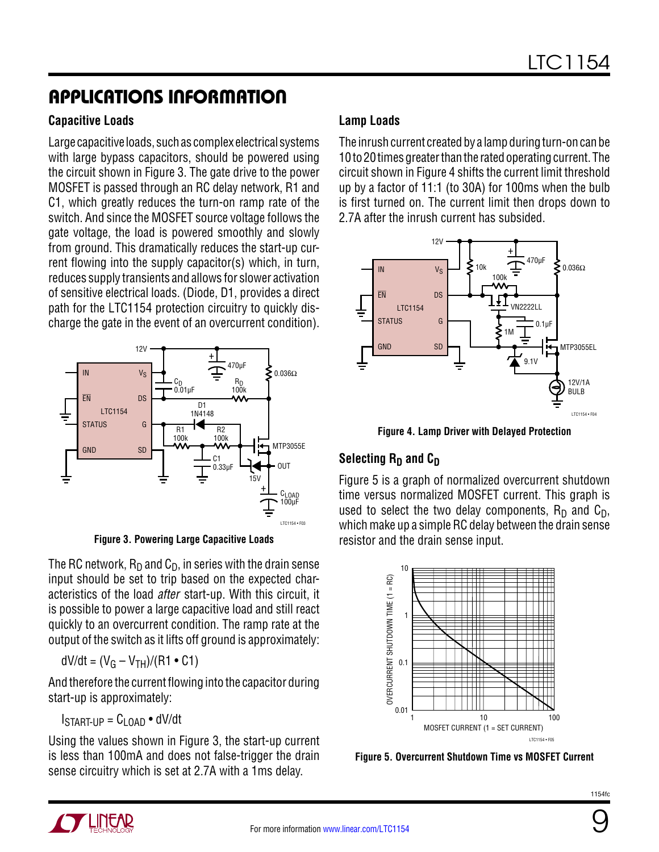## Applications Information

#### **Capacitive Loads**

Large capacitive loads, such as complex electrical systems with large bypass capacitors, should be powered using the circuit shown in Figure 3. The gate drive to the power MOSFET is passed through an RC delay network, R1 and C1, which greatly reduces the turn-on ramp rate of the switch. And since the MOSFET source voltage follows the gate voltage, the load is powered smoothly and slowly from ground. This dramatically reduces the start-up current flowing into the supply capacitor(s) which, in turn, reduces supply transients and allows for slower activation of sensitive electrical loads. (Diode, D1, provides a direct path for the LTC1154 protection circuitry to quickly discharge the gate in the event of an overcurrent condition).



**Figure 3. Powering Large Capacitive Loads**

The RC network,  $R_D$  and  $C_D$ , in series with the drain sense input should be set to trip based on the expected characteristics of the load *after* start-up. With this circuit, it is possible to power a large capacitive load and still react quickly to an overcurrent condition. The ramp rate at the output of the switch as it lifts off ground is approximately:

$$
dV/dt = (V_G - V_{TH})/(R1 \bullet C1)
$$

And therefore the current flowing into the capacitor during start-up is approximately:

 $I<sub>START-UP</sub> = C<sub>I</sub>$   $_{OAD}$   $\bullet$  dV/dt

Using the values shown in Figure 3, the start-up current is less than 100mA and does not false-trigger the drain sense circuitry which is set at 2.7A with a 1ms delay.

#### **Lamp Loads**

The inrush current created by a lamp during turn-on can be 10 to 20 times greater than the rated operating current. The circuit shown in Figure 4 shifts the current limit threshold up by a factor of 11:1 (to 30A) for 100ms when the bulb is first turned on. The current limit then drops down to 2.7A after the inrush current has subsided.



**Figure 4. Lamp Driver with Delayed Protection**

#### **Selecting R<sub>D</sub> and C<sub>D</sub>**

Figure 5 is a graph of normalized overcurrent shutdown time versus normalized MOSFET current. This graph is used to select the two delay components,  $R_D$  and  $C_D$ , which make up a simple RC delay between the drain sense resistor and the drain sense input.



**Figure 5. Overcurrent Shutdown Time vs MOSFET Current**



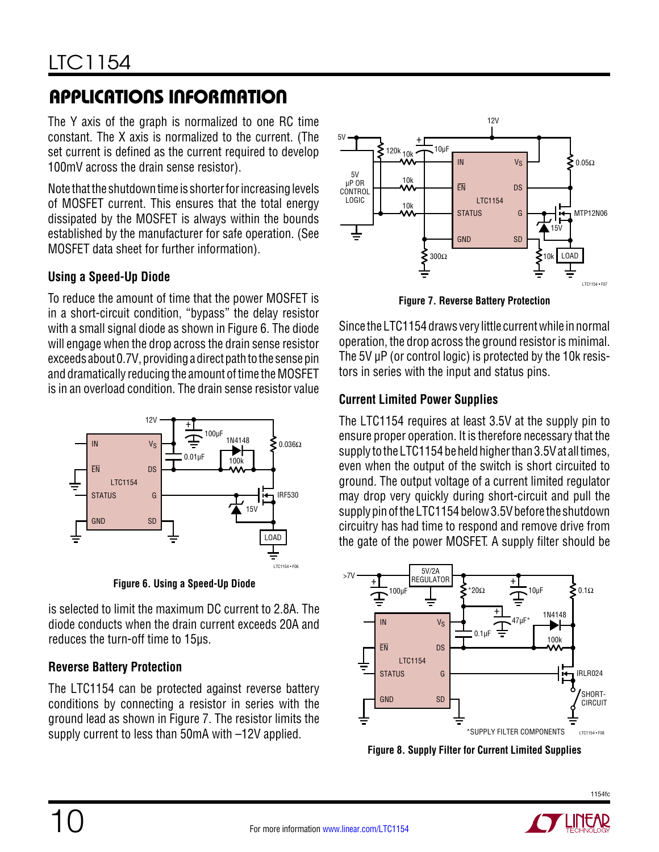# Applications Information

The Y axis of the graph is normalized to one RC time constant. The X axis is normalized to the current. (The set current is defined as the current required to develop 100mV across the drain sense resistor).

Note that the shutdown time is shorter for increasing levels of MOSFET current. This ensures that the total energy dissipated by the MOSFET is always within the bounds established by the manufacturer for safe operation. (See MOSFET data sheet for further information).

#### **Using a Speed-Up Diode**

To reduce the amount of time that the power MOSFET is in a short-circuit condition, "bypass" the delay resistor with a small signal diode as shown in Figure 6. The diode will engage when the drop across the drain sense resistor exceeds about 0.7V, providing a direct path to the sense pin and dramatically reducing the amount of time the MOSFET is in an overload condition. The drain sense resistor value



**Figure 6. Using a Speed-Up Diode**

is selected to limit the maximum DC current to 2.8A. The diode conducts when the drain current exceeds 20A and reduces the turn-off time to 15µs.

#### **Reverse Battery Protection**

The LTC1154 can be protected against reverse battery conditions by connecting a resistor in series with the ground lead as shown in Figure 7. The resistor limits the supply current to less than 50mA with –12V applied.



**Figure 7. Reverse Battery Protection**

Since the LTC1154 draws very little current while in normal operation, the drop across the ground resistor is minimal. The 5V µP (or control logic) is protected by the 10k resistors in series with the input and status pins.

#### **Current Limited Power Supplies**

The LTC1154 requires at least 3.5V at the supply pin to ensure proper operation. It is therefore necessary that the supply to the LTC1154 be held higher than 3.5V at all times, even when the output of the switch is short circuited to ground. The output voltage of a current limited regulator may drop very quickly during short-circuit and pull the supply pin of the LTC1154 below 3.5V before the shutdown circuitry has had time to respond and remove drive from the gate of the power MOSFET. A supply filter should be



**Figure 8. Supply Filter for Current Limited Supplies**

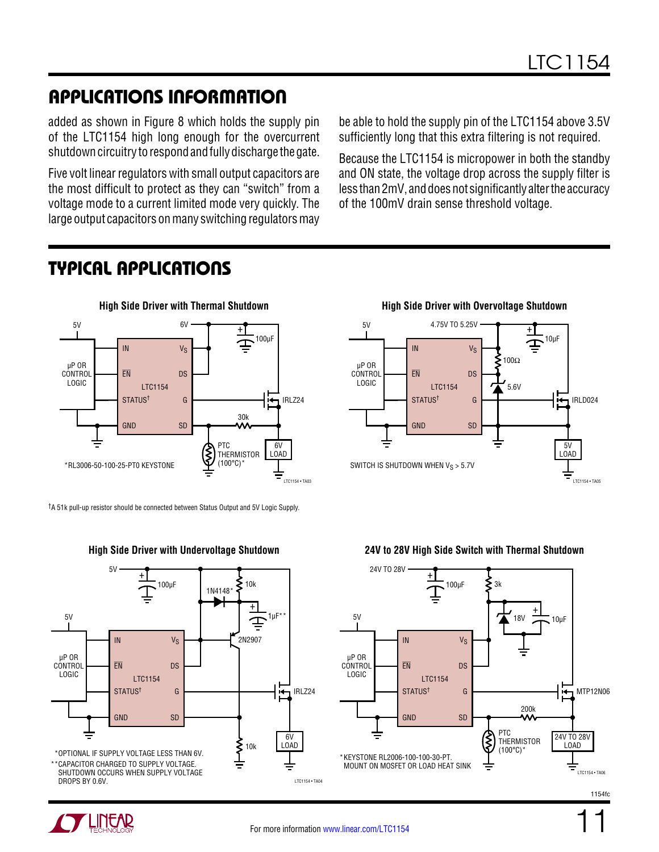# Applications Information

added as shown in Figure 8 which holds the supply pin of the LTC1154 high long enough for the overcurrent shutdown circuitry to respond and fully discharge the gate.

Five volt linear regulators with small output capacitors are the most difficult to protect as they can "switch" from a voltage mode to a current limited mode very quickly. The large output capacitors on many switching regulators may

be able to hold the supply pin of the LTC1154 above 3.5V sufficiently long that this extra filtering is not required.

Because the LTC1154 is micropower in both the standby and ON state, the voltage drop across the supply filter is less than 2mV, and does not significantly alter the accuracy of the 100mV drain sense threshold voltage.

## Typical Applications



†A 51k pull-up resistor should be connected between Status Output and 5V Logic Supply.



IN EN STATUS† GND **V<sub>S</sub>** DS G SD LTC1154 + 10µF IRLD024 4.75V TO 5.25V LTC1154 • TA05 5V LOAD 5V SWITCH IS SHUTDOWN WHEN  $V_S > 5.7V$ µP OR **CONTROL** LOGIC 100Ω 5.6V



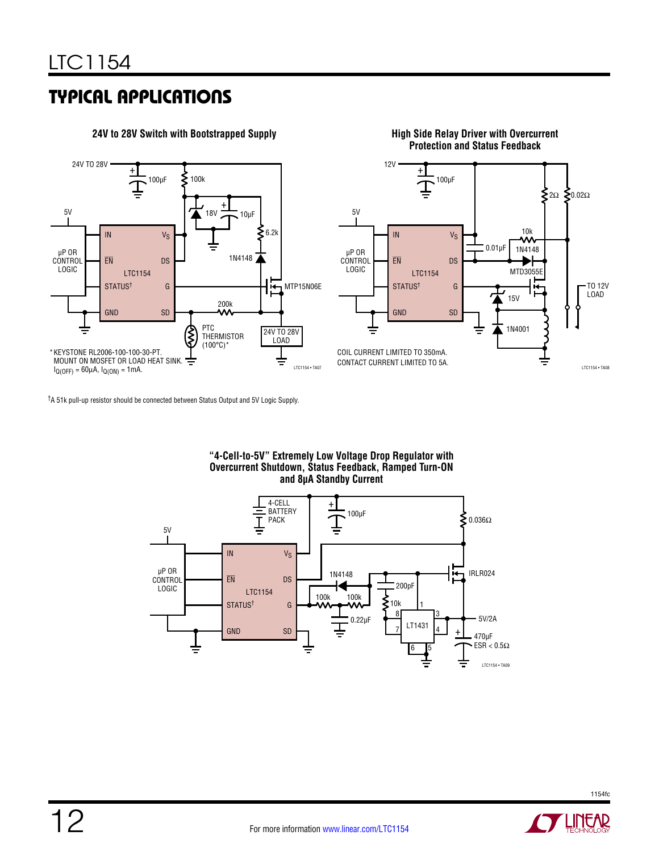



†A 51k pull-up resistor should be connected between Status Output and 5V Logic Supply.

**"4-Cell-to-5V" Extremely Low Voltage Drop Regulator with Overcurrent Shutdown, Status Feedback, Ramped Turn-ON and 8µA Standby Current**





<u>LINEAR</u>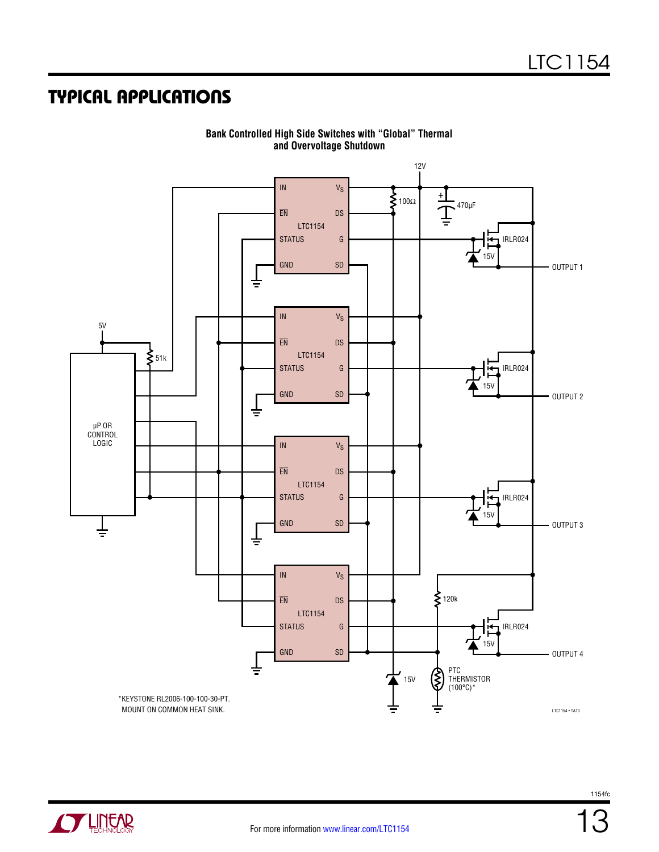

**Bank Controlled High Side Switches with "Global" Thermal and Overvoltage Shutdown**

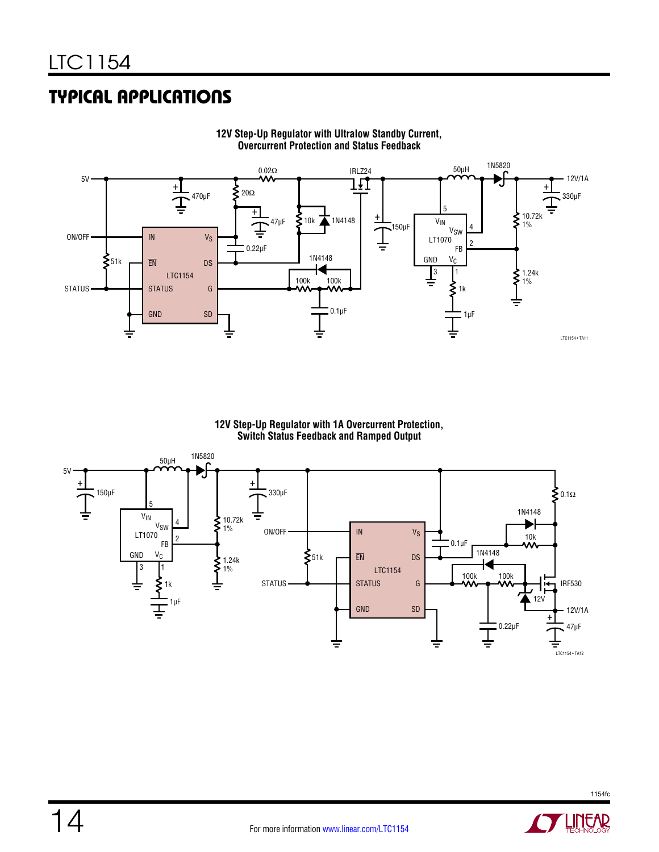

**12V Step-Up Regulator with Ultralow Standby Current, Overcurrent Protection and Status Feedback**

**12V Step-Up Regulator with 1A Overcurrent Protection, Switch Status Feedback and Ramped Output**

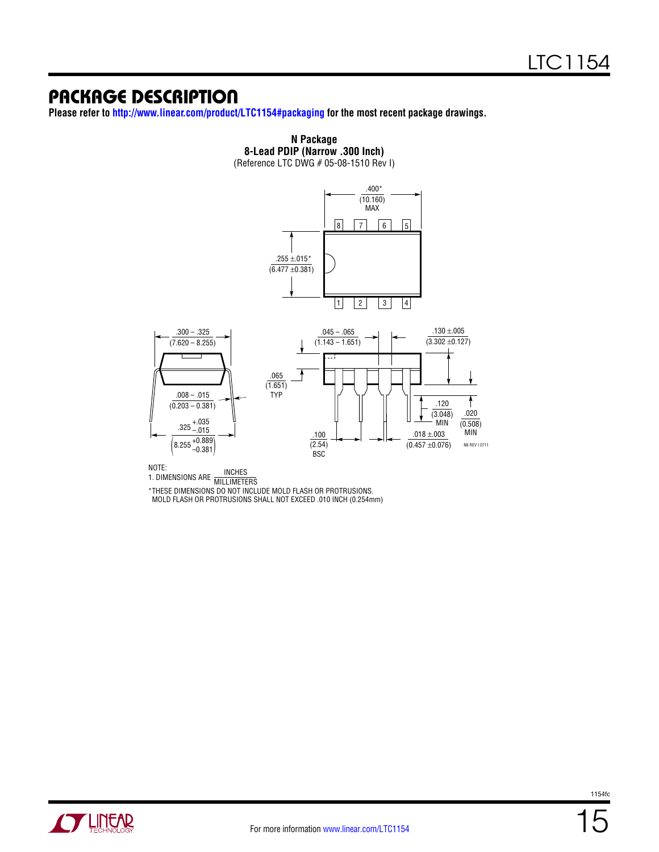### Package Description

**Please refer to <http://www.linear.com/product/LTC1154#packaging>for the most recent package drawings.**



**N Package 8-Lead PDIP (Narrow .300 Inch)**

NOTE:<br>1. DIMENSIONS ARE MILLIMETERS \*THESE DIMENSIONS DO NOT INCLUDE MOLD FLASH OR PROTRUSIONS.

MOLD FLASH OR PROTRUSIONS SHALL NOT EXCEED .010 INCH (0.254mm)

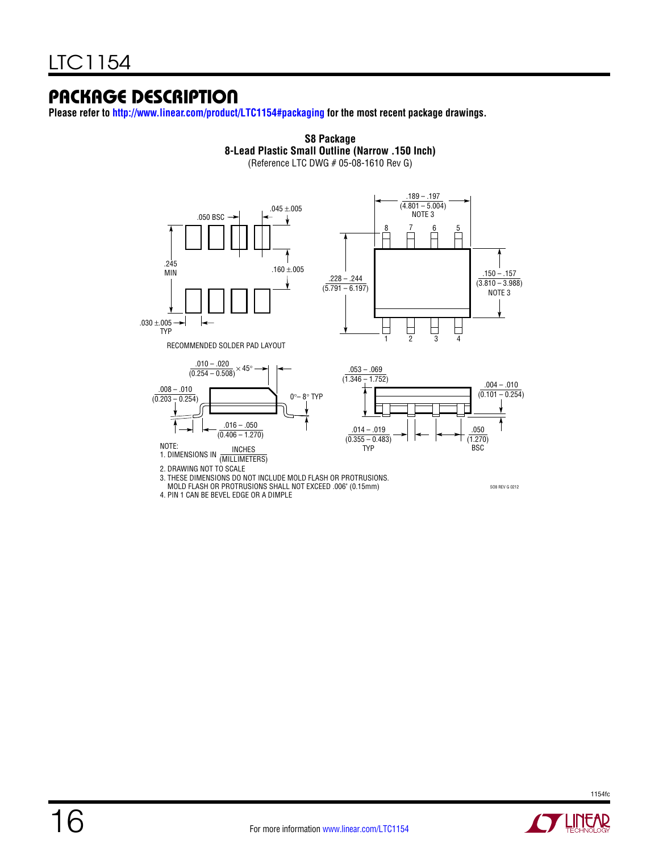### Package Description

**Please refer to <http://www.linear.com/product/LTC1154#packaging>for the most recent package drawings.**



**S8 Package**

4. PIN 1 CAN BE BEVEL EDGE OR A DIMPLE



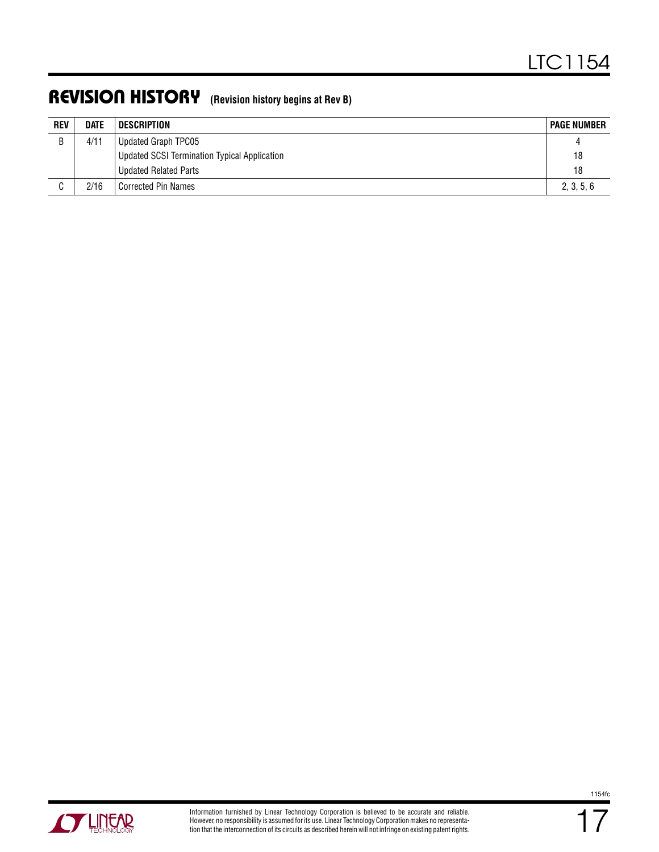### Revision History **(Revision history begins at Rev B)**

| <b>REV</b> | <b>DATE</b> | DESCRIPTION                                         | <b>PAGE NUMBER</b> |
|------------|-------------|-----------------------------------------------------|--------------------|
| R          | 4/11        | Updated Graph TPC05                                 |                    |
|            |             | <b>Updated SCSI Termination Typical Application</b> | 18                 |
|            |             | <b>Updated Related Parts</b>                        | 18                 |
| C          | 2/16        | Corrected Pin Names                                 | 2, 3, 5, 6         |